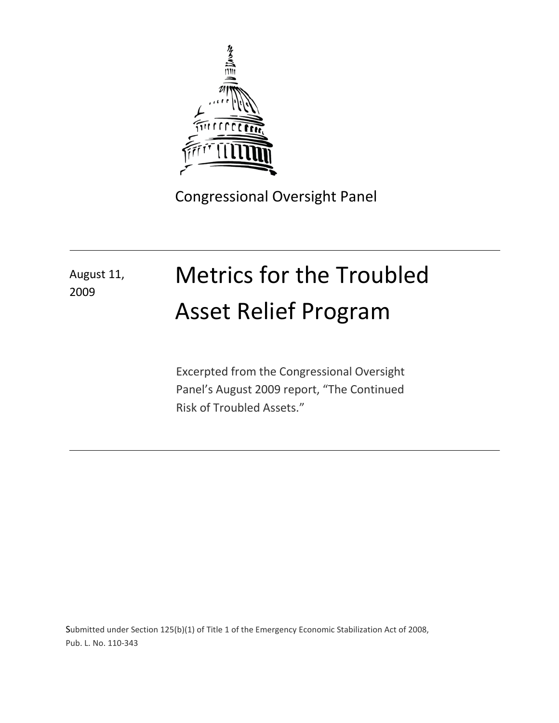

Congressional Oversight Panel

## August 11, 2009

# Metrics for the Troubled Asset Relief Program

Excerpted from the Congressional Oversight Panel's August 2009 report, "The Continued Risk of Troubled Assets."

Submitted under Section 125(b)(1) of Title 1 of the Emergency Economic Stabilization Act of 2008, Pub. L. No. 110-343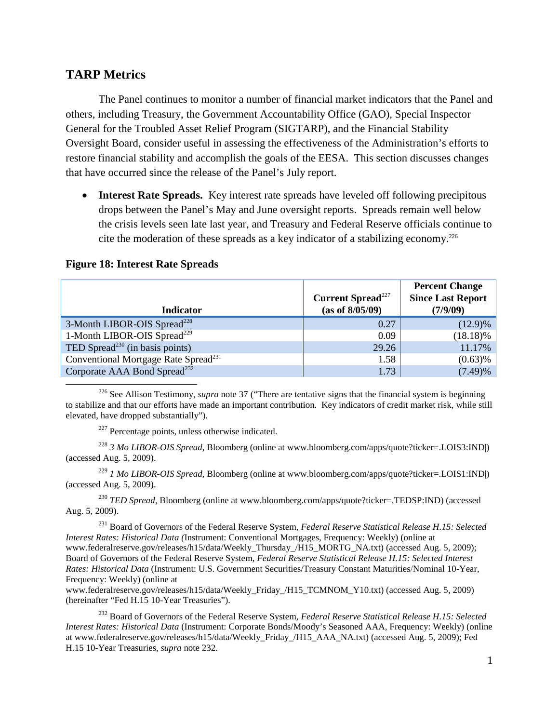### **TARP Metrics**

The Panel continues to monitor a number of financial market indicators that the Panel and others, including Treasury, the Government Accountability Office (GAO), Special Inspector General for the Troubled Asset Relief Program (SIGTARP), and the Financial Stability Oversight Board, consider useful in assessing the effectiveness of the Administration's efforts to restore financial stability and accomplish the goals of the EESA. This section discusses changes that have occurred since the release of the Panel's July report.

• **Interest Rate Spreads.** Key interest rate spreads have leveled off following precipitous drops between the Panel's May and June oversight reports. Spreads remain well below the crisis levels seen late last year, and Treasury and Federal Reserve officials continue to cite the moderation of these spreads as a key indicator of a stabilizing economy.<sup>226</sup>

| <b>Indicator</b>                                 | <b>Current Spread</b> <sup>227</sup><br>(as of 8/05/09) | <b>Percent Change</b><br><b>Since Last Report</b><br>(7/9/09) |
|--------------------------------------------------|---------------------------------------------------------|---------------------------------------------------------------|
| 3-Month LIBOR-OIS Spread <sup>228</sup>          | 0.27                                                    | $(12.9)\%$                                                    |
| 1-Month LIBOR-OIS Spread <sup>229</sup>          | 0.09                                                    | $(18.18)\%$                                                   |
| TED Spread <sup>230</sup> (in basis points)      | 29.26                                                   | 11.17%                                                        |
| Conventional Mortgage Rate Spread <sup>231</sup> | 1.58                                                    | $(0.63)$ %                                                    |
| Corporate AAA Bond Spread <sup>232</sup>         | 1.73                                                    | (7.49)%                                                       |

#### **Figure 18: Interest Rate Spreads**

l

<sup>226</sup> See Allison Testimony, *supra* note 37 ("There are tentative signs that the financial system is beginning to stabilize and that our efforts have made an important contribution. Key indicators of credit market risk, while still elevated, have dropped substantially").

 $227$  Percentage points, unless otherwise indicated.

<sup>228</sup> *3 Mo LIBOR-OIS Spread*, Bloomberg (online at www.bloomberg.com/apps/quote?ticker=.LOIS3:IND|) (accessed Aug. 5, 2009).

<sup>229</sup> *1 Mo LIBOR-OIS Spread*, Bloomberg (online at www.bloomberg.com/apps/quote?ticker=.LOIS1:IND|) (accessed Aug. 5, 2009).

<sup>230</sup> *TED Spread*, Bloomberg (online at www.bloomberg.com/apps/quote?ticker=.TEDSP:IND) (accessed Aug. 5, 2009).

<sup>231</sup> Board of Governors of the Federal Reserve System, *Federal Reserve Statistical Release H.15: Selected Interest Rates: Historical Data (*Instrument: Conventional Mortgages, Frequency: Weekly) (online at www.federalreserve.gov/releases/h15/data/Weekly\_Thursday\_/H15\_MORTG\_NA.txt) (accessed Aug. 5, 2009); Board of Governors of the Federal Reserve System, *Federal Reserve Statistical Release H.15: Selected Interest Rates: Historical Data* (Instrument: U.S. Government Securities/Treasury Constant Maturities/Nominal 10-Year, Frequency: Weekly) (online at

www.federalreserve.gov/releases/h15/data/Weekly\_Friday\_/H15\_TCMNOM\_Y10.txt) (accessed Aug. 5, 2009) (hereinafter "Fed H.15 10-Year Treasuries").

<sup>232</sup> Board of Governors of the Federal Reserve System, *Federal Reserve Statistical Release H.15: Selected Interest Rates: Historical Data* (Instrument: Corporate Bonds/Moody's Seasoned AAA, Frequency: Weekly) (online at www.federalreserve.gov/releases/h15/data/Weekly\_Friday\_/H15\_AAA\_NA.txt) (accessed Aug. 5, 2009); Fed H.15 10-Year Treasuries, *supra* note 232.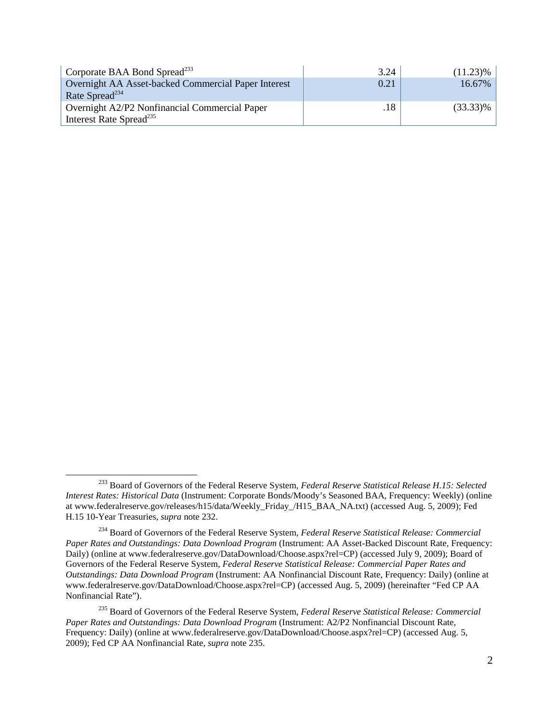| Corporate BAA Bond Spread <sup>233</sup>            | 3.24 | $(11.23)\%$ |
|-----------------------------------------------------|------|-------------|
| Overnight AA Asset-backed Commercial Paper Interest | 0.21 | 16.67%      |
| Rate Spread <sup>234</sup>                          |      |             |
| Overnight A2/P2 Nonfinancial Commercial Paper       | .18  | $(33.33)\%$ |
| Interest Rate Spread <sup>235</sup>                 |      |             |

ı

<sup>233</sup> Board of Governors of the Federal Reserve System, *Federal Reserve Statistical Release H.15: Selected Interest Rates: Historical Data* (Instrument: Corporate Bonds/Moody's Seasoned BAA, Frequency: Weekly) (online at www.federalreserve.gov/releases/h15/data/Weekly\_Friday\_/H15\_BAA\_NA.txt) (accessed Aug. 5, 2009); Fed H.15 10-Year Treasuries, *supra* note 232.

<sup>234</sup> Board of Governors of the Federal Reserve System, *Federal Reserve Statistical Release: Commercial Paper Rates and Outstandings: Data Download Program* (Instrument: AA Asset-Backed Discount Rate, Frequency: Daily) (online at www.federalreserve.gov/DataDownload/Choose.aspx?rel=CP) (accessed July 9, 2009); Board of Governors of the Federal Reserve System, *Federal Reserve Statistical Release: Commercial Paper Rates and Outstandings: Data Download Program* (Instrument: AA Nonfinancial Discount Rate, Frequency: Daily) (online at www.federalreserve.gov/DataDownload/Choose.aspx?rel=CP) (accessed Aug. 5, 2009) (hereinafter "Fed CP AA Nonfinancial Rate").

<sup>235</sup> Board of Governors of the Federal Reserve System, *Federal Reserve Statistical Release: Commercial Paper Rates and Outstandings: Data Download Program* (Instrument: A2/P2 Nonfinancial Discount Rate, Frequency: Daily) (online at www.federalreserve.gov/DataDownload/Choose.aspx?rel=CP) (accessed Aug. 5, 2009); Fed CP AA Nonfinancial Rate, *supra* note 235.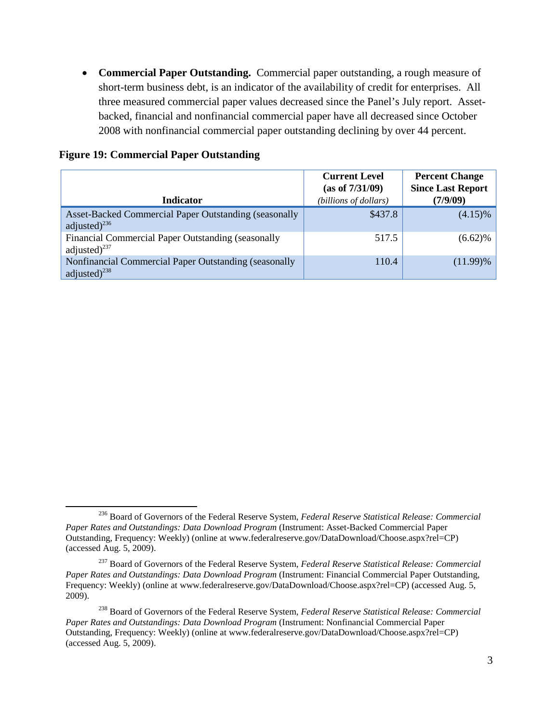• **Commercial Paper Outstanding.** Commercial paper outstanding, a rough measure of short-term business debt, is an indicator of the availability of credit for enterprises. All three measured commercial paper values decreased since the Panel's July report. Assetbacked, financial and nonfinancial commercial paper have all decreased since October 2008 with nonfinancial commercial paper outstanding declining by over 44 percent.

| <b>Indicator</b>                                                                                  | <b>Current Level</b><br>(as of 7/31/09)<br>(billions of dollars) | <b>Percent Change</b><br><b>Since Last Report</b><br>(7/9/09) |
|---------------------------------------------------------------------------------------------------|------------------------------------------------------------------|---------------------------------------------------------------|
| Asset-Backed Commercial Paper Outstanding (seasonally<br>adjusted) $^{236}$                       | \$437.8                                                          | $(4.15)\%$                                                    |
| Financial Commercial Paper Outstanding (seasonally<br>adjusted) $^{237}$                          | 517.5                                                            | $(6.62)\%$                                                    |
| Nonfinancial Commercial Paper Outstanding (seasonally<br>adjusted) <sup><math>^{238}</math></sup> | 110.4                                                            | $(11.99)\%$                                                   |

#### **Figure 19: Commercial Paper Outstanding**

ı

<sup>236</sup> Board of Governors of the Federal Reserve System, *Federal Reserve Statistical Release: Commercial Paper Rates and Outstandings: Data Download Program* (Instrument: Asset-Backed Commercial Paper Outstanding, Frequency: Weekly) (online at www.federalreserve.gov/DataDownload/Choose.aspx?rel=CP) (accessed Aug. 5, 2009).

<sup>237</sup> Board of Governors of the Federal Reserve System, *Federal Reserve Statistical Release: Commercial Paper Rates and Outstandings: Data Download Program* (Instrument: Financial Commercial Paper Outstanding, Frequency: Weekly) (online at www.federalreserve.gov/DataDownload/Choose.aspx?rel=CP) (accessed Aug. 5, 2009).

<sup>238</sup> Board of Governors of the Federal Reserve System, *Federal Reserve Statistical Release: Commercial Paper Rates and Outstandings: Data Download Program* (Instrument: Nonfinancial Commercial Paper Outstanding, Frequency: Weekly) (online at www.federalreserve.gov/DataDownload/Choose.aspx?rel=CP) (accessed Aug. 5, 2009).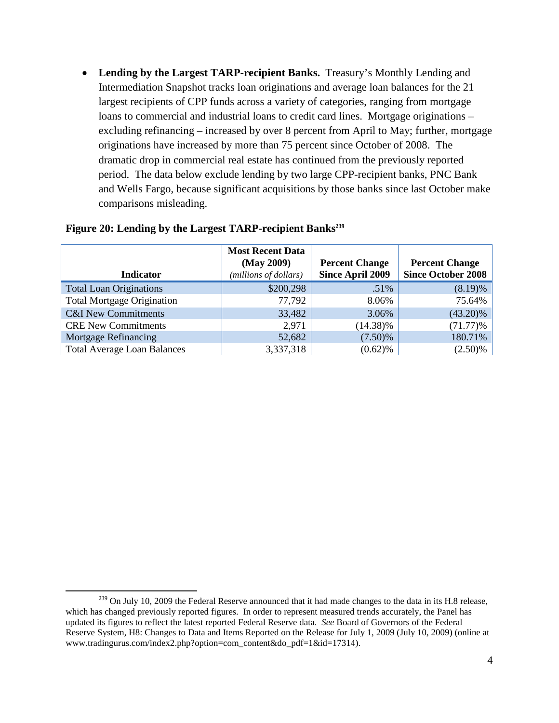• **Lending by the Largest TARP-recipient Banks.** Treasury's Monthly Lending and Intermediation Snapshot tracks loan originations and average loan balances for the 21 largest recipients of CPP funds across a variety of categories, ranging from mortgage loans to commercial and industrial loans to credit card lines. Mortgage originations – excluding refinancing – increased by over 8 percent from April to May; further, mortgage originations have increased by more than 75 percent since October of 2008. The dramatic drop in commercial real estate has continued from the previously reported period. The data below exclude lending by two large CPP-recipient banks, PNC Bank and Wells Fargo, because significant acquisitions by those banks since last October make comparisons misleading.

| <b>Indicator</b>                   | <b>Most Recent Data</b><br>(May 2009)<br>(millions of dollars) | <b>Percent Change</b><br><b>Since April 2009</b> | <b>Percent Change</b><br><b>Since October 2008</b> |
|------------------------------------|----------------------------------------------------------------|--------------------------------------------------|----------------------------------------------------|
| <b>Total Loan Originations</b>     | \$200,298                                                      | .51%                                             | $(8.19)\%$                                         |
| <b>Total Mortgage Origination</b>  | 77,792                                                         | 8.06%                                            | 75.64%                                             |
| <b>C&amp;I</b> New Commitments     | 33,482                                                         | 3.06%                                            | $(43.20)\%$                                        |
| <b>CRE New Commitments</b>         | 2,971                                                          | $(14.38)\%$                                      | $(71.77)\%$                                        |
| <b>Mortgage Refinancing</b>        | 52,682                                                         | $(7.50)\%$                                       | 180.71%                                            |
| <b>Total Average Loan Balances</b> | 3,337,318                                                      | $(0.62)\%$                                       | $(2.50)\%$                                         |

#### Figure 20: Lending by the Largest TARP-recipient Banks<sup>239</sup>

 $\overline{\phantom{0}}$ 

<sup>&</sup>lt;sup>239</sup> On July 10, 2009 the Federal Reserve announced that it had made changes to the data in its H.8 release, which has changed previously reported figures. In order to represent measured trends accurately, the Panel has updated its figures to reflect the latest reported Federal Reserve data. *See* Board of Governors of the Federal Reserve System, H8: Changes to Data and Items Reported on the Release for July 1, 2009 (July 10, 2009) (online at www.tradingurus.com/index2.php?option=com\_content&do\_pdf=1&id=17314).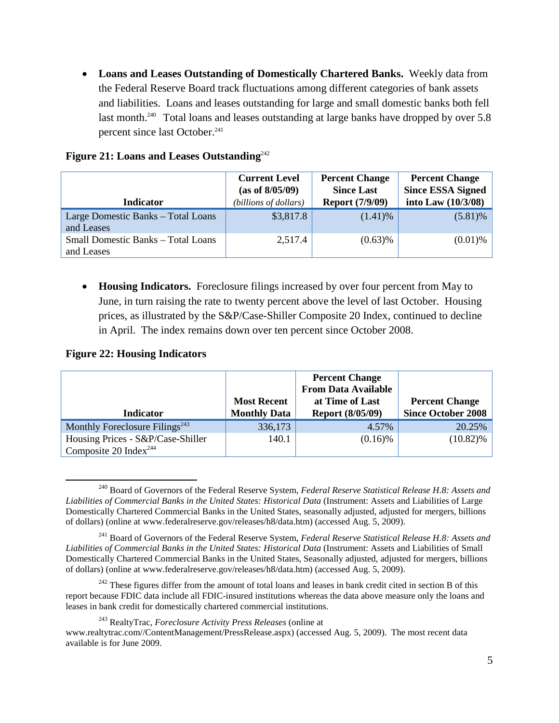• **Loans and Leases Outstanding of Domestically Chartered Banks.** Weekly data from the Federal Reserve Board track fluctuations among different categories of bank assets and liabilities. Loans and leases outstanding for large and small domestic banks both fell last month.<sup>240</sup> Total loans and leases outstanding at large banks have dropped by over 5.8 percent since last October.<sup>241</sup>

| <b>Indicator</b>                                        | <b>Current Level</b><br>(as of 8/05/09)<br>(billions of dollars) | <b>Percent Change</b><br><b>Since Last</b><br><b>Report (7/9/09)</b> | <b>Percent Change</b><br><b>Since ESSA Signed</b><br>into Law $(10/3/08)$ |
|---------------------------------------------------------|------------------------------------------------------------------|----------------------------------------------------------------------|---------------------------------------------------------------------------|
| Large Domestic Banks – Total Loans<br>and Leases        | \$3,817.8                                                        | $(1.41)$ %                                                           | $(5.81)\%$                                                                |
| <b>Small Domestic Banks - Total Loans</b><br>and Leases | 2,517.4                                                          | $(0.63)$ %                                                           | $(0.01)$ %                                                                |

#### Figure 21: Loans and Leases Outstanding<sup>242</sup>

• **Housing Indicators.** Foreclosure filings increased by over four percent from May to June, in turn raising the rate to twenty percent above the level of last October. Housing prices, as illustrated by the S&P/Case-Shiller Composite 20 Index, continued to decline in April. The index remains down over ten percent since October 2008.

#### **Figure 22: Housing Indicators**

l

| <b>Indicator</b>                                        | <b>Most Recent</b><br><b>Monthly Data</b> | <b>Percent Change</b><br><b>From Data Available</b><br>at Time of Last<br><b>Report (8/05/09)</b> | <b>Percent Change</b><br><b>Since October 2008</b> |
|---------------------------------------------------------|-------------------------------------------|---------------------------------------------------------------------------------------------------|----------------------------------------------------|
| Monthly Foreclosure Filings <sup><math>243</math></sup> | 336,173                                   | 4.57%                                                                                             | 20.25%                                             |
| Housing Prices - S&P/Case-Shiller                       | 140.1                                     | $(0.16)$ %                                                                                        | $(10.82)\%$                                        |
| Composite 20 Index <sup>244</sup>                       |                                           |                                                                                                   |                                                    |

<sup>240</sup> Board of Governors of the Federal Reserve System, *Federal Reserve Statistical Release H.8: Assets and Liabilities of Commercial Banks in the United States: Historical Data* (Instrument: Assets and Liabilities of Large Domestically Chartered Commercial Banks in the United States, seasonally adjusted, adjusted for mergers, billions of dollars) (online at www.federalreserve.gov/releases/h8/data.htm) (accessed Aug. 5, 2009).

<sup>241</sup> Board of Governors of the Federal Reserve System, *Federal Reserve Statistical Release H.8: Assets and Liabilities of Commercial Banks in the United States: Historical Data* (Instrument: Assets and Liabilities of Small Domestically Chartered Commercial Banks in the United States, Seasonally adjusted, adjusted for mergers, billions of dollars) (online at www.federalreserve.gov/releases/h8/data.htm) (accessed Aug. 5, 2009).

 $242$  These figures differ from the amount of total loans and leases in bank credit cited in section B of this report because FDIC data include all FDIC-insured institutions whereas the data above measure only the loans and leases in bank credit for domestically chartered commercial institutions.

<sup>243</sup> RealtyTrac, *Foreclosure Activity Press Releases* (online at www.realtytrac.com//ContentManagement/PressRelease.aspx) (accessed Aug. 5, 2009). The most recent data available is for June 2009.